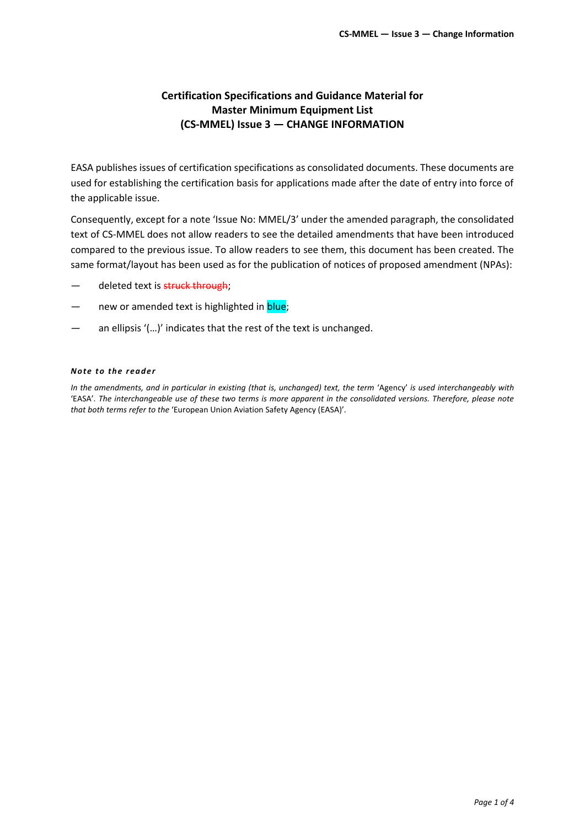### **Certification Specifications and Guidance Material for Master Minimum Equipment List (CS-MMEL) Issue 3 — CHANGE INFORMATION**

EASA publishes issues of certification specifications as consolidated documents. These documents are used for establishing the certification basis for applications made after the date of entry into force of the applicable issue.

Consequently, except for a note 'Issue No: MMEL/3' under the amended paragraph, the consolidated text of CS-MMEL does not allow readers to see the detailed amendments that have been introduced compared to the previous issue. To allow readers to see them, this document has been created. The same format/layout has been used as for the publication of notices of proposed amendment (NPAs):

- deleted text is struck through;
- new or amended text is highlighted in **blue**;
- an ellipsis '(...)' indicates that the rest of the text is unchanged.

#### *Note to the re ade r*

*In the amendments, and in particular in existing (that is, unchanged) text, the term* 'Agency' *is used interchangeably with*  'EASA'*. The interchangeable use of these two terms is more apparent in the consolidated versions. Therefore, please note that both terms refer to the* 'European Union Aviation Safety Agency (EASA)'*.*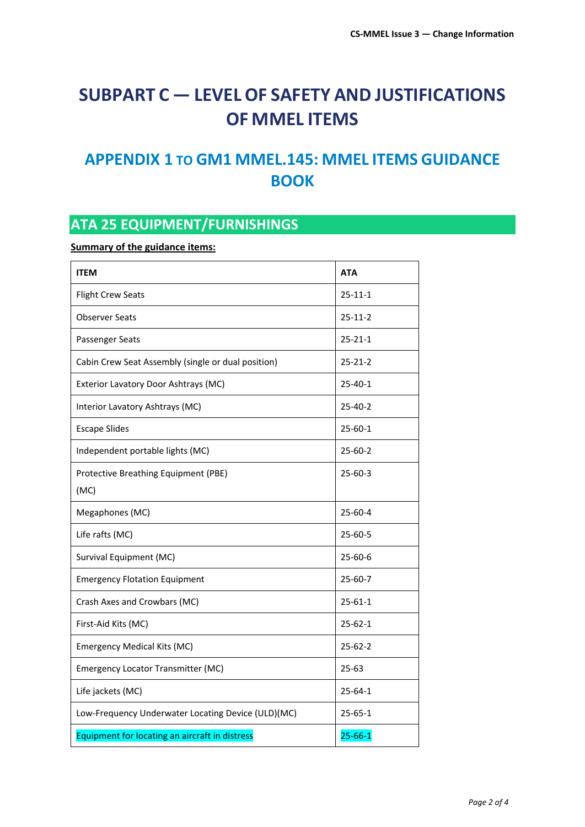# **SUBPART C — LEVEL OF SAFETY AND JUSTIFICATIONS OF MMEL ITEMS**

### **APPENDIX 1 TO GM1 MMEL.145: MMEL ITEMS GUIDANCE BOOK**

## **ATA 25 EQUIPMENT/FURNISHINGS**

**Summary of the guidance items:**

| <b>ITEM</b>                                        | <b>ATA</b>    |
|----------------------------------------------------|---------------|
| <b>Flight Crew Seats</b>                           | $25 - 11 - 1$ |
| <b>Observer Seats</b>                              | $25 - 11 - 2$ |
| Passenger Seats                                    | $25 - 21 - 1$ |
| Cabin Crew Seat Assembly (single or dual position) | $25 - 21 - 2$ |
| Exterior Lavatory Door Ashtrays (MC)               | $25 - 40 - 1$ |
| Interior Lavatory Ashtrays (MC)                    | $25 - 40 - 2$ |
| <b>Escape Slides</b>                               | $25 - 60 - 1$ |
| Independent portable lights (MC)                   | $25 - 60 - 2$ |
| Protective Breathing Equipment (PBE)<br>(MC)       | $25 - 60 - 3$ |
| Megaphones (MC)                                    | $25 - 60 - 4$ |
| Life rafts (MC)                                    | $25 - 60 - 5$ |
| Survival Equipment (MC)                            | $25 - 60 - 6$ |
| <b>Emergency Flotation Equipment</b>               | $25 - 60 - 7$ |
| Crash Axes and Crowbars (MC)                       | $25 - 61 - 1$ |
| First-Aid Kits (MC)                                | $25 - 62 - 1$ |
| <b>Emergency Medical Kits (MC)</b>                 | $25 - 62 - 2$ |
| Emergency Locator Transmitter (MC)                 | $25 - 63$     |
| Life jackets (MC)                                  | $25 - 64 - 1$ |
| Low-Frequency Underwater Locating Device (ULD)(MC) | $25 - 65 - 1$ |
| Equipment for locating an aircraft in distress     | $25 - 66 - 1$ |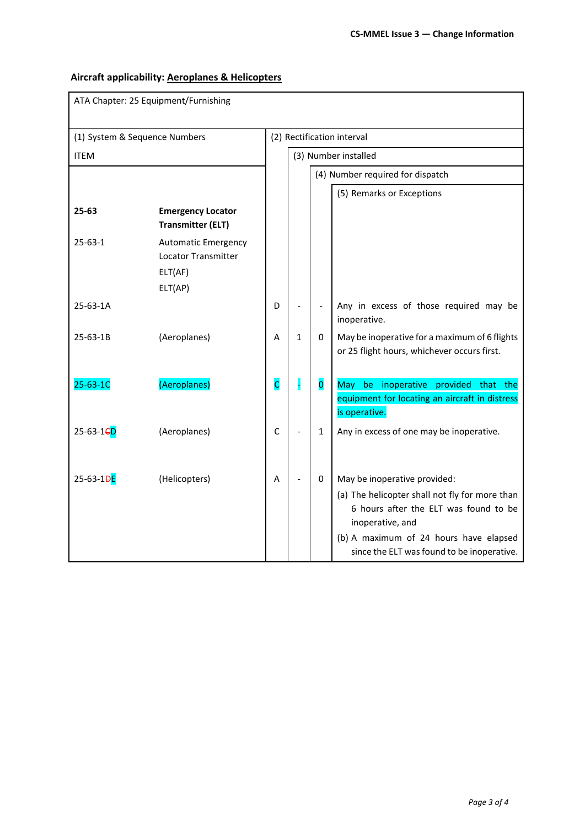### **Aircraft applicability: Aeroplanes & Helicopters**

| ATA Chapter: 25 Equipment/Furnishing |                                                                         |                            |                                  |                              |                                                                                                                                                                                                                                     |  |  |
|--------------------------------------|-------------------------------------------------------------------------|----------------------------|----------------------------------|------------------------------|-------------------------------------------------------------------------------------------------------------------------------------------------------------------------------------------------------------------------------------|--|--|
| (1) System & Sequence Numbers        |                                                                         | (2) Rectification interval |                                  |                              |                                                                                                                                                                                                                                     |  |  |
| <b>ITEM</b>                          |                                                                         | (3) Number installed       |                                  |                              |                                                                                                                                                                                                                                     |  |  |
|                                      |                                                                         |                            | (4) Number required for dispatch |                              |                                                                                                                                                                                                                                     |  |  |
|                                      |                                                                         |                            |                                  |                              | (5) Remarks or Exceptions                                                                                                                                                                                                           |  |  |
| 25-63                                | <b>Emergency Locator</b><br><b>Transmitter (ELT)</b>                    |                            |                                  |                              |                                                                                                                                                                                                                                     |  |  |
| $25 - 63 - 1$                        | <b>Automatic Emergency</b><br>Locator Transmitter<br>ELT(AF)<br>ELT(AP) |                            |                                  |                              |                                                                                                                                                                                                                                     |  |  |
| 25-63-1A                             |                                                                         | D                          |                                  | $\qquad \qquad \blacksquare$ | Any in excess of those required may be<br>inoperative.                                                                                                                                                                              |  |  |
| 25-63-1B                             | (Aeroplanes)                                                            | A                          | $\mathbf{1}$                     | 0                            | May be inoperative for a maximum of 6 flights<br>or 25 flight hours, whichever occurs first.                                                                                                                                        |  |  |
| 25-63-1C                             | (Aeroplanes)                                                            | c                          |                                  | $\overline{\mathbf{0}}$      | be inoperative provided that the<br>May<br>equipment for locating an aircraft in distress<br>is operative.                                                                                                                          |  |  |
| 25-63-1 <sub>6</sub> D               | (Aeroplanes)                                                            | $\mathsf C$                |                                  | 1                            | Any in excess of one may be inoperative.                                                                                                                                                                                            |  |  |
| 25-63-1 <del>DE</del>                | (Helicopters)                                                           | Α                          |                                  | 0                            | May be inoperative provided:<br>(a) The helicopter shall not fly for more than<br>6 hours after the ELT was found to be<br>inoperative, and<br>(b) A maximum of 24 hours have elapsed<br>since the ELT was found to be inoperative. |  |  |